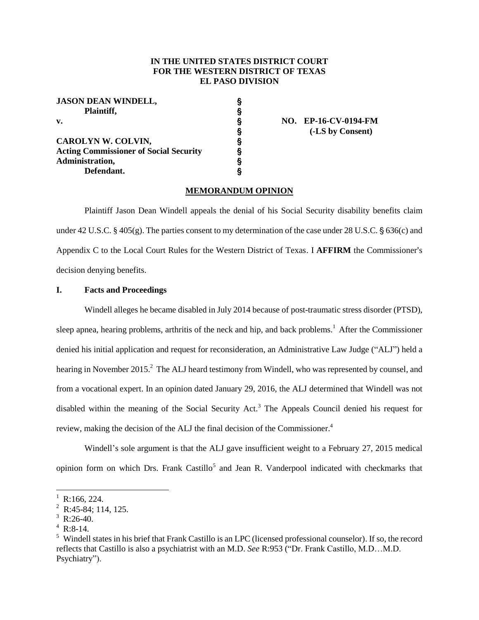# **IN THE UNITED STATES DISTRICT COURT FOR THE WESTERN DISTRICT OF TEXAS EL PASO DIVISION**

| <b>JASON DEAN WINDELL,</b>                    |   |                      |
|-----------------------------------------------|---|----------------------|
| Plaintiff,                                    | § |                      |
| v.                                            | ş | NO. EP-16-CV-0194-FM |
|                                               | § | (-LS by Consent)     |
| CAROLYN W. COLVIN,                            | ş |                      |
| <b>Acting Commissioner of Social Security</b> | ş |                      |
| Administration,                               |   |                      |

### **MEMORANDUM OPINION**

Plaintiff Jason Dean Windell appeals the denial of his Social Security disability benefits claim under 42 U.S.C. § 405(g). The parties consent to my determination of the case under 28 U.S.C. § 636(c) and Appendix C to the Local Court Rules for the Western District of Texas. I **AFFIRM** the Commissioner's decision denying benefits.

# **I. Facts and Proceedings**

**Defendant.** '

Windell alleges he became disabled in July 2014 because of post-traumatic stress disorder (PTSD), sleep apnea, hearing problems, arthritis of the neck and hip, and back problems. <sup>1</sup> After the Commissioner denied his initial application and request for reconsideration, an Administrative Law Judge ("ALJ") held a hearing in November 2015.<sup>2</sup> The ALJ heard testimony from Windell, who was represented by counsel, and from a vocational expert. In an opinion dated January 29, 2016, the ALJ determined that Windell was not disabled within the meaning of the Social Security Act.<sup>3</sup> The Appeals Council denied his request for review, making the decision of the ALJ the final decision of the Commissioner.<sup>4</sup>

Windell's sole argument is that the ALJ gave insufficient weight to a February 27, 2015 medical opinion form on which Drs. Frank Castillo<sup>5</sup> and Jean R. Vanderpool indicated with checkmarks that

 $\overline{a}$ 

 $^{1}$  R:166, 224.

 $2$  R:45-84; 114, 125.

 $3$  R:26-40.

 $4$  R:8-14.

<sup>&</sup>lt;sup>5</sup> Windell states in his brief that Frank Castillo is an LPC (licensed professional counselor). If so, the record reflects that Castillo is also a psychiatrist with an M.D. *See* R:953 ("Dr. Frank Castillo, M.D…M.D. Psychiatry").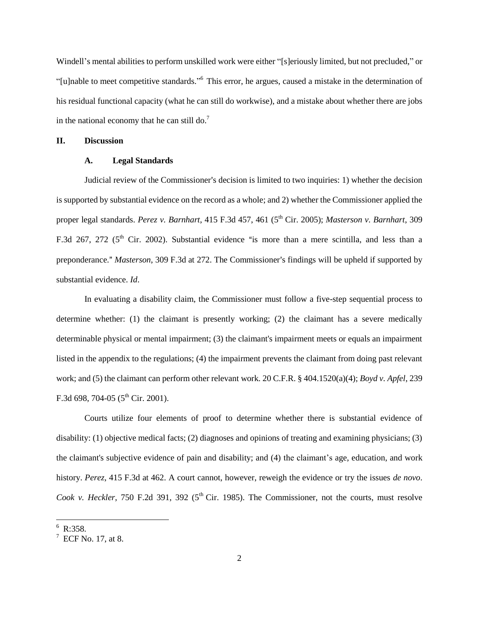Windell's mental abilities to perform unskilled work were either "[s]eriously limited, but not precluded," or "[u]nable to meet competitive standards." <sup>6</sup> This error, he argues, caused a mistake in the determination of his residual functional capacity (what he can still do workwise), and a mistake about whether there are jobs in the national economy that he can still do.<sup>7</sup>

### **II. Discussion**

#### **A. Legal Standards**

Judicial review of the Commissioner's decision is limited to two inquiries: 1) whether the decision is supported by substantial evidence on the record as a whole; and 2) whether the Commissioner applied the proper legal standards. *Perez v. Barnhart*, 415 F.3d 457, 461 (5<sup>th</sup> Cir. 2005); *Masterson v. Barnhart*, 309 F.3d 267, 272 ( $5<sup>th</sup>$  Cir. 2002). Substantial evidence "is more than a mere scintilla, and less than a preponderance." *Masterson*, 309 F.3d at 272. The Commissioner's findings will be upheld if supported by substantial evidence. *Id*.

In evaluating a disability claim, the Commissioner must follow a five-step sequential process to determine whether: (1) the claimant is presently working; (2) the claimant has a severe medically determinable physical or mental impairment; (3) the claimant's impairment meets or equals an impairment listed in the appendix to the regulations; (4) the impairment prevents the claimant from doing past relevant work; and (5) the claimant can perform other relevant work. 20 C.F.R. § 404.1520(a)(4); *Boyd v. Apfel*, 239 F.3d 698, 704-05 ( $5<sup>th</sup>$  Cir. 2001).

Courts utilize four elements of proof to determine whether there is substantial evidence of disability: (1) objective medical facts; (2) diagnoses and opinions of treating and examining physicians; (3) the claimant's subjective evidence of pain and disability; and (4) the claimant's age, education, and work history. *Perez*, 415 F.3d at 462. A court cannot, however, reweigh the evidence or try the issues *de novo*. *Cook v. Heckler*, 750 F.2d 391, 392 (5<sup>th</sup> Cir. 1985). The Commissioner, not the courts, must resolve

 $\overline{\phantom{a}}$ 

<sup>&</sup>lt;sup>6</sup> R:358.

 $7$  ECF No. 17, at 8.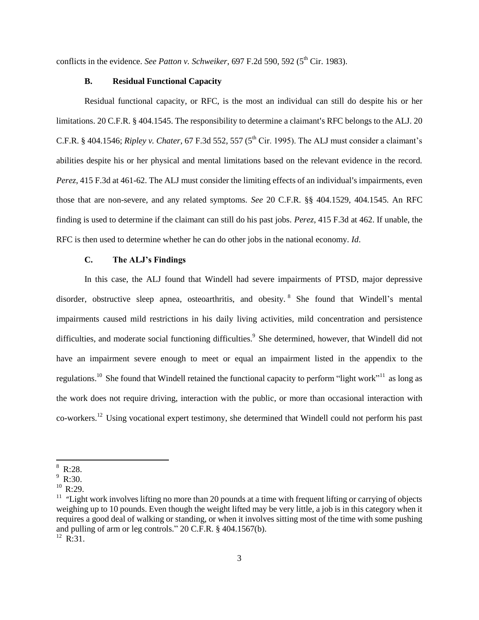conflicts in the evidence. *See Patton v. Schweiker*, 697 F.2d 590, 592 (5<sup>th</sup> Cir. 1983).

### **B. Residual Functional Capacity**

Residual functional capacity, or RFC, is the most an individual can still do despite his or her limitations. 20 C.F.R.  $\S$  404.1545. The responsibility to determine a claimant's RFC belongs to the ALJ. 20 C.F.R. § 404.1546; *Ripley v. Chater*, 67 F.3d 552, 557 (5<sup>th</sup> Cir. 1995). The ALJ must consider a claimant's abilities despite his or her physical and mental limitations based on the relevant evidence in the record. *Perez*, 415 F.3d at 461-62. The ALJ must consider the limiting effects of an individual's impairments, even those that are non-severe, and any related symptoms. *See* 20 C.F.R. §§ 404.1529, 404.1545. An RFC finding is used to determine if the claimant can still do his past jobs. *Perez*, 415 F.3d at 462. If unable, the RFC is then used to determine whether he can do other jobs in the national economy. *Id*.

### **C. The ALJ's Findings**

In this case, the ALJ found that Windell had severe impairments of PTSD, major depressive disorder, obstructive sleep apnea, osteoarthritis, and obesity.<sup>8</sup> She found that Windell's mental impairments caused mild restrictions in his daily living activities, mild concentration and persistence difficulties, and moderate social functioning difficulties.<sup>9</sup> She determined, however, that Windell did not have an impairment severe enough to meet or equal an impairment listed in the appendix to the regulations.<sup>10</sup> She found that Windell retained the functional capacity to perform "light work"<sup>11</sup> as long as the work does not require driving, interaction with the public, or more than occasional interaction with co-workers.<sup>12</sup> Using vocational expert testimony, she determined that Windell could not perform his past

 $\overline{\phantom{a}}$ 

R:28.

 $R:30.$ 

 $10$  R:29.

<sup>&</sup>lt;sup>11</sup> "Light work involves lifting no more than 20 pounds at a time with frequent lifting or carrying of objects weighing up to 10 pounds. Even though the weight lifted may be very little, a job is in this category when it requires a good deal of walking or standing, or when it involves sitting most of the time with some pushing and pulling of arm or leg controls." 20 C.F.R. § 404.1567(b).

 $^{12}$  R:31.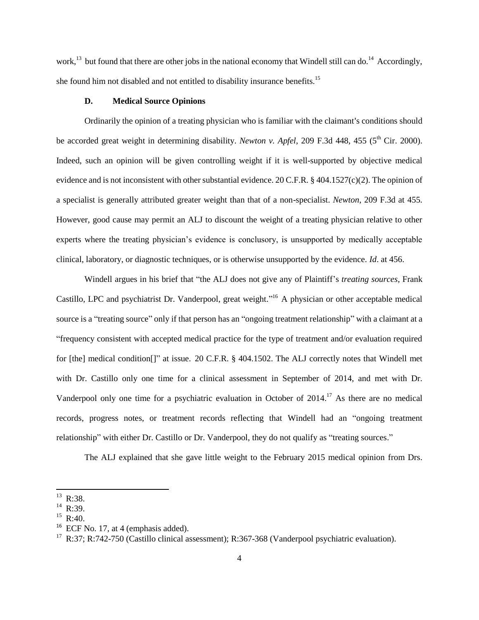work,<sup>13</sup> but found that there are other jobs in the national economy that Windell still can do.<sup>14</sup> Accordingly, she found him not disabled and not entitled to disability insurance benefits.<sup>15</sup>

## **D. Medical Source Opinions**

Ordinarily the opinion of a treating physician who is familiar with the claimant's conditions should be accorded great weight in determining disability. *Newton v. Apfel*, 209 F.3d 448, 455 (5<sup>th</sup> Cir. 2000). Indeed, such an opinion will be given controlling weight if it is well-supported by objective medical evidence and is not inconsistent with other substantial evidence. 20 C.F.R. § 404.1527(c)(2). The opinion of a specialist is generally attributed greater weight than that of a non-specialist. *Newton*, 209 F.3d at 455. However, good cause may permit an ALJ to discount the weight of a treating physician relative to other experts where the treating physician's evidence is conclusory, is unsupported by medically acceptable clinical, laboratory, or diagnostic techniques, or is otherwise unsupported by the evidence. *Id*. at 456.

Windell argues in his brief that "the ALJ does not give any of Plaintiff's *treating sources*, Frank Castillo, LPC and psychiatrist Dr. Vanderpool, great weight."<sup>16</sup> A physician or other acceptable medical source is a "treating source" only if that person has an "ongoing treatment relationship" with a claimant at a "frequency consistent with accepted medical practice for the type of treatment and/or evaluation required for [the] medical condition[]" at issue. 20 C.F.R. § 404.1502. The ALJ correctly notes that Windell met with Dr. Castillo only one time for a clinical assessment in September of 2014, and met with Dr. Vanderpool only one time for a psychiatric evaluation in October of 2014.<sup>17</sup> As there are no medical records, progress notes, or treatment records reflecting that Windell had an "ongoing treatment relationship" with either Dr. Castillo or Dr. Vanderpool, they do not qualify as "treating sources."

The ALJ explained that she gave little weight to the February 2015 medical opinion from Drs.

 $\overline{\phantom{a}}$ 

 $^{13}$  R:38.

<sup>&</sup>lt;sup>14</sup> R:39.

 $R:40.$ 

 $^{16}$  ECF No. 17, at 4 (emphasis added).

 $17$  R:37; R:742-750 (Castillo clinical assessment); R:367-368 (Vanderpool psychiatric evaluation).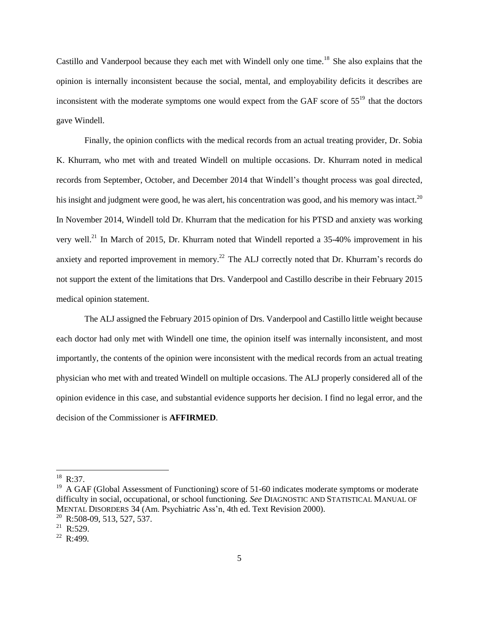Castillo and Vanderpool because they each met with Windell only one time.<sup>18</sup> She also explains that the opinion is internally inconsistent because the social, mental, and employability deficits it describes are inconsistent with the moderate symptoms one would expect from the GAF score of  $55^{19}$  that the doctors gave Windell.

Finally, the opinion conflicts with the medical records from an actual treating provider, Dr. Sobia K. Khurram, who met with and treated Windell on multiple occasions. Dr. Khurram noted in medical records from September, October, and December 2014 that Windell's thought process was goal directed, his insight and judgment were good, he was alert, his concentration was good, and his memory was intact.<sup>20</sup> In November 2014, Windell told Dr. Khurram that the medication for his PTSD and anxiety was working very well.<sup>21</sup> In March of 2015, Dr. Khurram noted that Windell reported a 35-40% improvement in his anxiety and reported improvement in memory.<sup>22</sup> The ALJ correctly noted that Dr. Khurram's records do not support the extent of the limitations that Drs. Vanderpool and Castillo describe in their February 2015 medical opinion statement.

The ALJ assigned the February 2015 opinion of Drs. Vanderpool and Castillo little weight because each doctor had only met with Windell one time, the opinion itself was internally inconsistent, and most importantly, the contents of the opinion were inconsistent with the medical records from an actual treating physician who met with and treated Windell on multiple occasions. The ALJ properly considered all of the opinion evidence in this case, and substantial evidence supports her decision. I find no legal error, and the decision of the Commissioner is **AFFIRMED**.

 $\overline{a}$ 

 $^{18}$  R:37.

 $19$  A GAF (Global Assessment of Functioning) score of 51-60 indicates moderate symptoms or moderate difficulty in social, occupational, or school functioning. *See* DIAGNOSTIC AND STATISTICAL MANUAL OF MENTAL DISORDERS 34 (Am. Psychiatric Ass'n, 4th ed. Text Revision 2000).

<sup>&</sup>lt;sup>20</sup> R:508-09, 513, 527, 537.

 $21$  R:529.

<sup>22</sup> R:499.